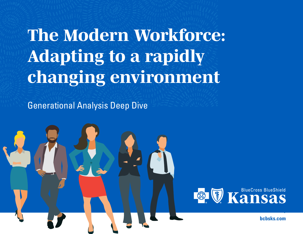# *The Modern Workforce: Adapting to a rapidly changing environment*

Generational Analysis Deep Dive



**[bcbsks.com](http://bcbsks.com)**

**1**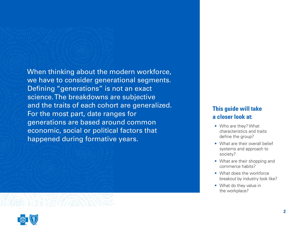When thinking about the modern workforce, we have to consider generational segments. Defining "generations" is not an exact science. The breakdowns are subjective and the traits of each cohort are generalized. For the most part, date ranges for generations are based around common economic, social or political factors that happened during formative years.

## **This guide will take a closer look at:**

- Who are they? What characteristics and traits define the group?
- What are their overall belief systems and approach to society?
- What are their shopping and commerce habits?
- What does the workforce breakout by industry look like?
- What do they value in the workplace?

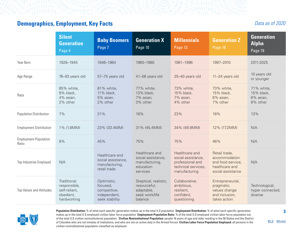## **Demographics, Employment, Key Facts**

#### *Data as of 2020*

|                                 | <b>Silent</b><br><b>Generation</b><br>Page 4                              | <b>Baby Boomers</b><br>Page 7                                             | <b>Generation X</b><br>Page 10                                                   | <b>Millennials</b><br>Page 13                                                                    | <b>Generation Z</b><br>Page 16                                                             | <b>Generation</b><br><b>Alpha</b><br>Page 19      |
|---------------------------------|---------------------------------------------------------------------------|---------------------------------------------------------------------------|----------------------------------------------------------------------------------|--------------------------------------------------------------------------------------------------|--------------------------------------------------------------------------------------------|---------------------------------------------------|
| Year Born                       | 1928-1945                                                                 | 1946-1964                                                                 | 1965-1980                                                                        | 1981-1996                                                                                        | 1997-2010                                                                                  | 2011-2025                                         |
| Age Range                       | 76-93 years old                                                           | 57-75 years old                                                           | 41-56 years old                                                                  | 25-40 years old                                                                                  | 11-24 years old                                                                            | 10 years old<br>or younger                        |
| Race                            | 85% white,<br>9% black,<br>4% asian,<br>2% other                          | 81% white,<br>11% black,<br>5% asian,<br>2% other                         | 77% white,<br>13% black,<br>7% asian,<br>3% other                                | 73% white,<br>15% black,<br>7% asian,<br>4% other                                                | 73% white,<br>15% black,<br>6% asian,<br>7% other                                          | 71% white,<br>15% black,<br>6% asian,<br>8% other |
| Population Distribution         | 7%                                                                        | 21%                                                                       | 18%                                                                              | 23%                                                                                              | 18%                                                                                        | 13%                                               |
| <b>Employment Distribution</b>  | 1% (1.8MM)                                                                | 23% (33.4MM)                                                              | 31% (45.4MM)                                                                     | 34% (49.9MM)                                                                                     | 12% (17.2MM)                                                                               | N/A                                               |
| Employment-Population<br>Ratio  | 8%                                                                        | 45%                                                                       | 75%                                                                              | 75%                                                                                              | 46%                                                                                        | N/A                                               |
| Top Industries Employed         | N/A                                                                       | Healthcare and<br>social assistance,<br>manufacturing,<br>retail trade    | Healthcare and<br>social assistance,<br>manufacturing,<br>education<br>services  | Healthcare and<br>social assistance,<br>professional and<br>technical services,<br>manufacturing | Retail trade,<br>accommodation<br>and food service,<br>healthcare and<br>social assistance | N/A                                               |
| <b>Top Values and Attitudes</b> | Traditional,<br>responsible,<br>self-reliant,<br>obedient,<br>hardworking | Optimistic,<br>focused,<br>competitive,<br>independent,<br>seek stability | Skeptical, realistic,<br>resourceful,<br>adaptable,<br>seek work/life<br>balance | Collaborative,<br>ambitious,<br>resilient,<br>confident,<br>questioning                          | Entrepreneurial,<br>pragmatic,<br>values change<br>and inclusion,<br>takes action          | Technological,<br>hyper connected,<br>diverse     |



**Population Distribution:** % of what each specific generation makes up in the total U.S population **Employment Distribution:** % of what each specific generation makes up in the total U.S employed civilian labor force population **Employment-Population Ratio:** % of the total U.S employed civilian labor force population out of the total U.S civilian noninstitutional population **Civilian Noninstitutional Population:** people 16 years of age and older residing in the 50 States and the District of Columbia who are not inmates of institutions, and who are not on active duty in the Armed Forces **Civilian Labor Force Population Employed:** all persons in the civilian noninstitutional population classified as employed

**3**

**[BLS](https://www.bls.gov/cps/cpsaat03.htm)** [Mintel](https://portal.mintel.com/portal/login?next=https%3A%2F%2Freports.mintel.com%2F%3Flogon%26start%3Ddisplay%26id%3D1047413)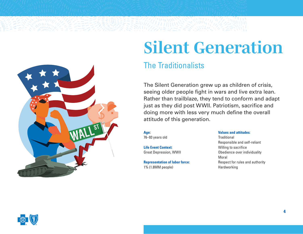<span id="page-3-0"></span>

# *Silent Generation*

# The Traditionalists

The Silent Generation grew up as children of crisis, seeing older people fight in wars and live extra lean. Rather than trailblaze, they tend to conform and adapt just as they did post WWII. Patriotism, sacrifice and doing more with less very much define the overall attitude of this generation.

**Age:** 76–93 years old

**Life Event Context:**  Great Depression, WWII

**Representation of labor force:**  1% (1.8MM people)

#### **Values and attitudes**:

**Traditional** Responsible and self-reliant Willing to sacrifice Obedience over individuality Moral Respect for rules and authority Hardworking

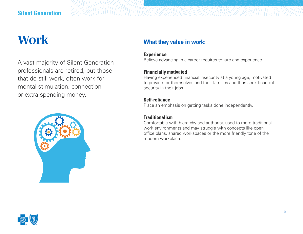## **Silent Generation**

# *Work*

A vast majority of Silent Generation professionals are retired, but those that do still work, often work for mental stimulation, connection or extra spending money.



## **What they value in work:**

#### **Experience**

Believe advancing in a career requires tenure and experience.

#### **Financially motivated**

Having experienced financial insecurity at a young age, motivated to provide for themselves and their families and thus seek financial security in their jobs.

#### **Self-reliance**

Place an emphasis on getting tasks done independently.

#### **Traditionalism**

Comfortable with hierarchy and authority, used to more traditional work environments and may struggle with concepts like open office plans, shared workspaces or the more friendly tone of the modern workplace.

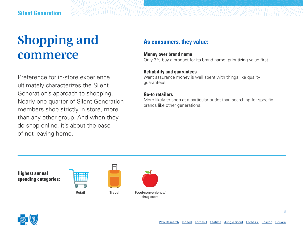# *Shopping and commerce*

Preference for in-store experience ultimately characterizes the Silent Generation's approach to shopping. Nearly one quarter of Silent Generation members shop strictly in store, more than any other group. And when they do shop online, it's about the ease of not leaving home.

## **As consumers, they value:**

#### **Money over brand name**

Only 3% buy a product for its brand name, prioritizing value first.

E E FAMILIANO EST

#### **Reliability and guarantees**

Want assurance money is well spent with things like quality guarantees.

#### **Go-to retailers**

**CONNECT SHOWER** 

More likely to shop at a particular outlet than searching for specific brands like other generations.

**Highest annual spending categories:**



**Travel** 



drug store

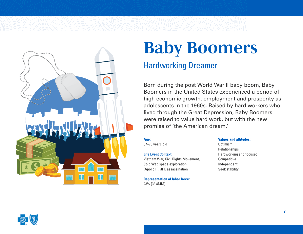<span id="page-6-0"></span>

# *Baby Boomers*

# Hardworking Dreamer

Born during the post World War II baby boom, Baby Boomers in the United States experienced a period of high economic growth, employment and prosperity as adolescents in the 1960s. Raised by hard workers who lived through the Great Depression, Baby Boomers were raised to value hard work, but with the new promise of 'the American dream.'

#### **Age:**

57–75 years old

#### **Life Event Context:**

Vietnam War, Civil Rights Movement, Cold War, space exploration (Apollo II), JFK assassination

**Representation of labor force:** 23% (33.4MM)

#### **Values and attitudes:**

**Optimism** Relationships Hardworking and focused **Competitive** Independent Seek stability

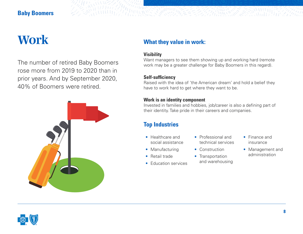### **Baby Boomers**

# *Work*

The number of retired Baby Boomers rose more from 2019 to 2020 than in prior years. And by September 2020, 40% of Boomers were retired.



## **What they value in work:**

#### **Visibility**

**AN WHIPPER MARKET AND RESEARCH** 

Want managers to see them showing up and working hard (remote work may be a greater challenge for Baby Boomers in this regard).

#### **Self-sufficiency**

Raised with the idea of 'the American dream' and hold a belief they have to work hard to get where they want to be.

#### **Work is an identity component**

Invested in families and hobbies, job/career is also a defining part of their identity. Take pride in their careers and companies.

# **Top Industries**

- Healthcare and social assistance
- Manufacturing
- Retail trade
- Education services
- Professional and technical services
- Construction
- Transportation and warehousing
- Finance and insurance
- Management and administration

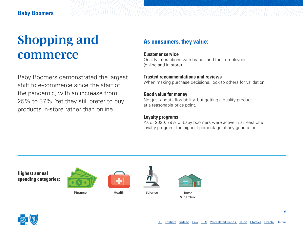# *Shopping and commerce*

Baby Boomers demonstrated the largest shift to e-commerce since the start of the pandemic, with an increase from 25% to 37%. Yet they still prefer to buy products in-store rather than online.

### **As consumers, they value:**

#### **Customer service**

WILLIAM CONTRACTOR

Quality interactions with brands and their employees (online and in-store).

#### **Trusted recommendations and reviews**

When making purchase decisions, look to others for validation.

#### **Good value for money**

Not just about affordability, but getting a quality product at a reasonable price point.

#### **Loyalty programs**

As of 2020, 79% of baby boomers were active in at least one loyalty program, the highest percentage of any generation.

**Highest annual spending categories:**







Finance Health Science

Home & garden

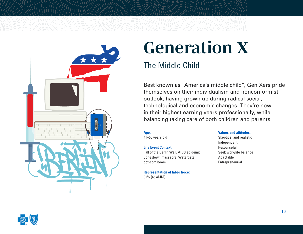<span id="page-9-0"></span>

# *Generation X*

# The Middle Child

Best known as "America's middle child", Gen Xers pride themselves on their individualism and nonconformist outlook, having grown up during radical social, technological and economic changes. They're now in their highest earning years professionally, while balancing taking care of both children and parents.

# **Age:**

41–56 years old

#### **Life Event Context:**

Fall of the Berlin Wall, AIDS epidemic, Jonestown massacre, Watergate, dot-com boom

#### **Representation of labor force:**  31% (45.4MM)

#### **Values and attitudes:** Skeptical and realistic

Independent Resourceful Seek work/life balance Adaptable Entrepreneurial

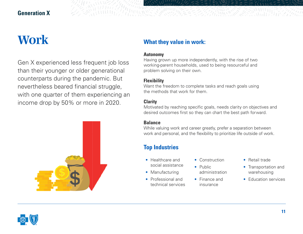### **Generation X**

# *Work*

Gen X experienced less frequent job loss than their younger or older generational counterparts during the pandemic. But nevertheless beared financial struggle, with one quarter of them experiencing an income drop by 50% or more in 2020.



## **What they value in work:**

#### **Autonomy**

Having grown up more independently, with the rise of two working-parent households, used to being resourceful and problem solving on their own.

#### **Flexibility**

Want the freedom to complete tasks and reach goals using the methods that work for them.

#### **Clarity**

Motivated by reaching specific goals, needs clarity on objectives and desired outcomes first so they can chart the best path forward.

#### **Balance**

While valuing work and career greatly, prefer a separation between work and personal, and the flexibility to prioritize life outside of work.

# **Top Industries**

- Healthcare and social assistance
- Manufacturing
- Professional and technical services
- Construction
- Public administration
- Finance and insurance
- Retail trade
- Transportation and warehousing
- Education services

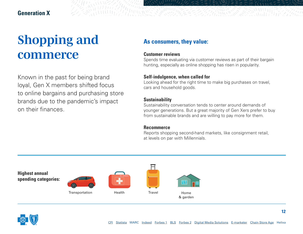#### **Generation X**

# *Shopping and commerce*

Known in the past for being brand loyal, Gen X members shifted focus to online bargains and purchasing store brands due to the pandemic's impact on their finances.

### **As consumers, they value:**

#### **Customer reviews**

Spends time evaluating via customer reviews as part of their bargain hunting, especially as online shopping has risen in popularity.

#### **Self-indulgence, when called for**

Looking ahead for the right time to make big purchases on travel, cars and household goods.

#### **Sustainability**

Sustainability conversation tends to center around demands of younger generations. But a great majority of Gen Xers prefer to buy from sustainable brands and are willing to pay more for them.

#### **Recommerce**

Reports shopping second-hand markets, like consignment retail, at levels on par with Millennials.



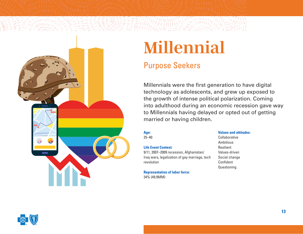<span id="page-12-0"></span>

# *Millennial*

# Purpose Seekers

Millennials were the first generation to have digital technology as adolescents, and grew up exposed to the growth of intense political polarization. Coming into adulthood during an economic recession gave way to Millennials having delayed or opted out of getting married or having children.

#### **Age:**

25–40

#### **Life Event Context:**

9/11, 2007–2009 recession, Afghanistan/ Iraq wars, legalization of gay marriage, tech revolution

#### **Representation of labor force:**

34% (49.9MM)

#### **Values and attitudes:**

Collaborative Ambitious Resilient Values-driven Social change Confident Questioning

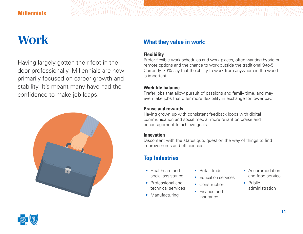### **Millennials**

# *Work*

Having largely gotten their foot in the door professionally, Millennials are now primarily focused on career growth and stability. It's meant many have had the confidence to make job leaps.



## **What they value in work:**

#### **Flexibility**

**《新闻***话经历学***编**》《文学》

Prefer flexible work schedules and work places, often wanting hybrid or remote options and the chance to work outside the traditional 9-to-5. Currently, 70% say that the ability to work from anywhere in the world is important.

第*年的新版版版* 

#### **Work life balance**

Prefer jobs that allow pursuit of passions and family time, and may even take jobs that offer more flexibility in exchange for lower pay.

#### **Praise and rewards**

Having grown up with consistent feedback loops with digital communication and social media, more reliant on praise and encouragement to achieve goals.

#### **Innovation**

Discontent with the status quo, question the way of things to find improvements and efficiencies.

# **Top Industries**

- Healthcare and social assistance
- Professional and technical services
- Manufacturing
- Retail trade
- **Education services**
- Construction
- Finance and insurance
- Accommodation and food service
- Public administration



**14**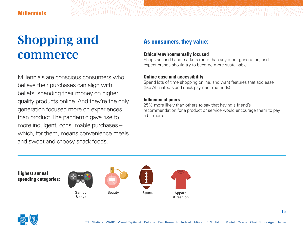# *Shopping and commerce*

Millennials are conscious consumers who believe their purchases can align with beliefs, spending their money on higher quality products online. And they're the only generation focused more on experiences than product. The pandemic gave rise to more indulgent, consumable purchases – which, for them, means convenience meals and sweet and cheesy snack foods.

### **As consumers, they value:**

#### **Ethical/environmentally focused**

Shops second-hand markets more than any other generation, and expect brands should try to become more sustainable.

ZZANIK SE

#### **Online ease and accessibility**

Spend lots of time shopping online, and want features that add ease (like AI chatbots and quick payment methods).

#### **Influence of peers**

*CONTRACTOR SERVICES* 

25% more likely than others to say that having a friend's recommendation for a product or service would encourage them to pay a bit more.







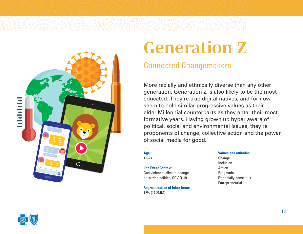<span id="page-15-0"></span>

# *Generation Z*

# Connected Changemakers

More racially and ethnically diverse than any other generation, Generation Z is also likely to be the most educated. They're true digital natives, and for now, seem to hold similar progressive values as their elder Millennial counterparts as they enter their most formative years. Having grown up hyper aware of political, social and environmental issues, they're proponents of change, collective action and the power of social media for good.

#### **Age**:

11–24

#### **Life Event Context:**  Gun violence, climate change, polarizing politics, COVID-19

**Representation of labor force:** 12% (17.2MM)

#### **Values and attitudes:**

**Change** Inclusion Action Pragmatic Financially conscious Entrepreneurial

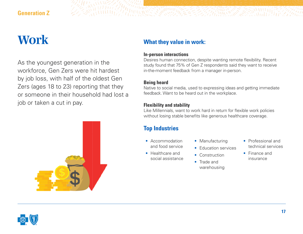### **Generation Z**

# *Work*

As the youngest generation in the workforce, Gen Zers were hit hardest by job loss, with half of the oldest Gen Zers (ages 18 to 23) reporting that they or someone in their household had lost a job or taken a cut in pay.



## **What they value in work:**

#### **In-person interactions**

Desires human connection, despite wanting remote flexibility. Recent study found that 75% of Gen Z respondents said they want to receive in-the-moment feedback from a manager in-person.

#### **Being heard**

Native to social media, used to expressing ideas and getting immediate feedback. Want to be heard out in the workplace.

#### **Flexibility and stability**

Like Millennials, want to work hard in return for flexible work policies without losing stable benefits like generous healthcare coverage.

# **Top Industries**

- Accommodation and food service
- Healthcare and social assistance
- Manufacturing
- **Education services**
- Construction
- Trade and warehousing
- Professional and technical services
- Finance and insurance

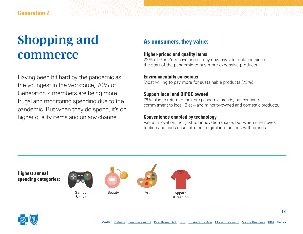# *Shopping and commerce*

Having been hit hard by the pandemic as the youngest in the workforce, 70% of Generation Z members are being more frugal and monitoring spending due to the pandemic. But when they do spend, it's on higher quality items and on any channel.

### **As consumers, they value:**

#### **Higher-priced and quality items**

22% of Gen Zers have used a buy-now-pay-later solution since the start of the pandemic to buy more expensive products.

#### **Environmentally conscious**

Most willing to pay more for sustainable products (73%).

#### **Support local and BIPOC owned**

76% plan to return to their pre-pandemic brands, but continue commitment to local, Black- and minority-owned and domestic products.

#### **Convenience enabled by technology**

Value innovation, not just for innovation's sake, but when it removes friction and adds ease into their digital interactions with brands.



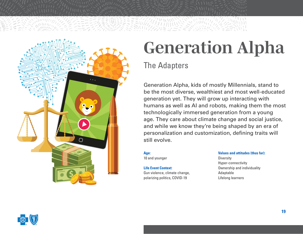<span id="page-18-0"></span>

# *Generation Alpha*

# The Adapters

Generation Alpha, kids of mostly Millennials, stand to be the most diverse, wealthiest and most well-educated generation yet. They will grow up interacting with humans as well as AI and robots, making them the most technologically immersed generation from a young age. They care about climate change and social justice, and while we know they're being shaped by an era of personalization and customization, defining traits will still evolve.

**Age:**  10 and younger

**Life Event Context**: Gun violence, climate change, polarizing politics, COVID-19

**Values and attitudes (thus far): Diversity** Hyper-connectivity Ownership and individuality Adaptable Lifelong learners

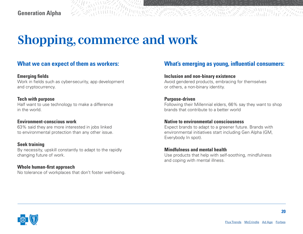# *Shopping, commerce and work*

#### **What we can expect of them as workers:**

#### **Emerging fields**

Work in fields such as cyber-security, app development and cryptocurrency.

#### **Tech with purpose**

Half want to use technology to make a difference in the world.

#### **Environment-conscious work**

63% said they are more interested in jobs linked to environmental protection than any other issue.

#### **Seek training**

By necessity, upskill constantly to adapt to the rapidly changing future of work.

**Whole human-first approach** No tolerance of workplaces that don't foster well-being.

### **What's emerging as young, influential consumers:**

ZZANNA

#### **Inclusion and non-binary existence**

Avoid gendered products, embracing for themselves or others, a non-binary identity.

#### **Purpose-driven**

Following their Millennial elders, 66% say they want to shop brands that contribute to a better world

#### **Native to environmental consciousness**

Expect brands to adapt to a greener future. Brands with environmental initiatives start including Gen Alpha (GM, Everybody In spot).

#### **Mindfulness and mental health**

Use products that help with self-soothing, mindfulness and coping with mental illness.



**20**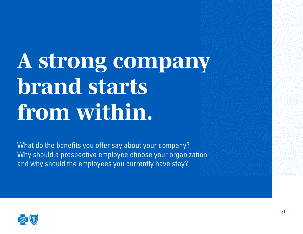# *A strong company brand starts from within.*

What do the benefits you offer say about your company? Why should a prospective employee choose your organization and why should the employees you currently have stay?